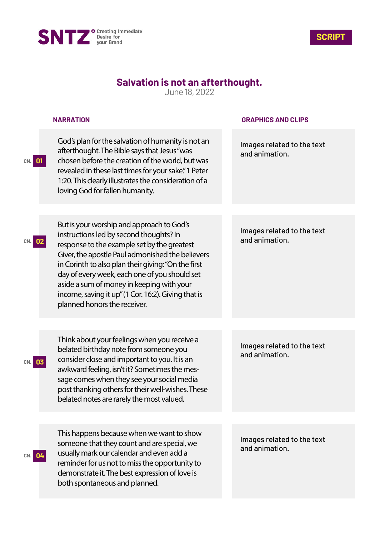



## **Salvation is not an afterthought.**

June 18, 2022

|           | <b>NARRATION</b>                                                                                                                                                                                                                                                                                                                                                                                                                    | <b>GRAPHICS AND CLIPS</b>                    |
|-----------|-------------------------------------------------------------------------------------------------------------------------------------------------------------------------------------------------------------------------------------------------------------------------------------------------------------------------------------------------------------------------------------------------------------------------------------|----------------------------------------------|
| CN.<br>01 | God's plan for the salvation of humanity is not an<br>afterthought. The Bible says that Jesus "was<br>chosen before the creation of the world, but was<br>revealed in these last times for your sake." 1 Peter<br>1:20. This clearly illustrates the consideration of a<br>loving God for fallen humanity.                                                                                                                          | Images related to the text<br>and animation. |
|           |                                                                                                                                                                                                                                                                                                                                                                                                                                     |                                              |
| 02        | But is your worship and approach to God's<br>instructions led by second thoughts? In<br>response to the example set by the greatest<br>Giver, the apostle Paul admonished the believers<br>in Corinth to also plan their giving: "On the first<br>day of every week, each one of you should set<br>aside a sum of money in keeping with your<br>income, saving it up" (1 Cor. 16:2). Giving that is<br>planned honors the receiver. | Images related to the text<br>and animation. |
|           |                                                                                                                                                                                                                                                                                                                                                                                                                                     |                                              |
| 03        | Think about your feelings when you receive a<br>belated birthday note from someone you<br>consider close and important to you. It is an<br>awkward feeling, isn't it? Sometimes the mes-<br>sage comes when they see your social media<br>post thanking others for their well-wishes. These<br>belated notes are rarely the most valued.                                                                                            | Images related to the text<br>and animation. |
|           |                                                                                                                                                                                                                                                                                                                                                                                                                                     |                                              |
| CN. 04    | This happens because when we want to show<br>someone that they count and are special, we<br>usually mark our calendar and even add a<br>reminder for us not to miss the opportunity to<br>demonstrate it. The best expression of love is<br>both spontaneous and planned.                                                                                                                                                           | Images related to the text<br>and animation. |